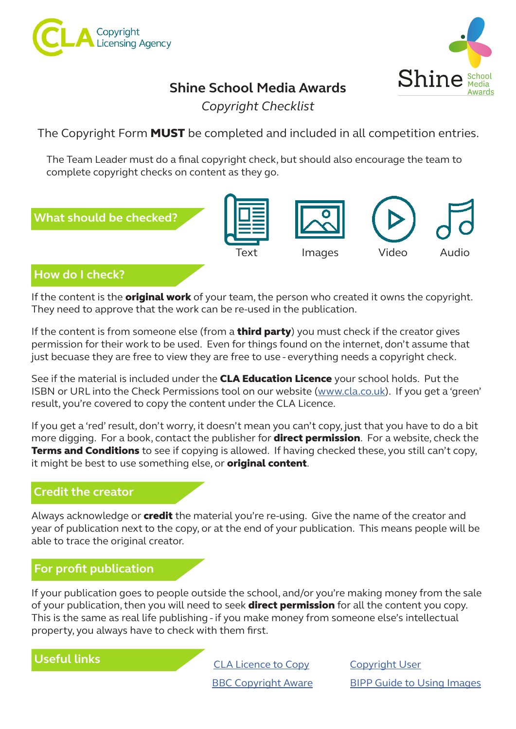



## **Shine School Media Awards**

*Copyright Checklist*

The Copyright Form **MUST** be completed and included in all competition entries.

The Team Leader must do a final copyright check, but should also encourage the team to complete copyright checks on content as they go.



If the content is the **original work** of your team, the person who created it owns the copyright. They need to approve that the work can be re-used in the publication.

If the content is from someone else (from a **third party**) you must check if the creator gives permission for their work to be used. Even for things found on the internet, don't assume that just becuase they are free to view they are free to use - everything needs a copyright check.

See if the material is included under the **CLA Education Licence** your school holds. Put the ISBN or URL into the Check Permissions tool on our website ([www.cla.co.uk](https://cla.co.uk/licencetocopy)). If you get a 'green' result, you're covered to copy the content under the CLA Licence.

If you get a 'red' result, don't worry, it doesn't mean you can't copy, just that you have to do a bit more digging. For a book, contact the publisher for **direct permission**. For a website, check the **Terms and Conditions** to see if copying is allowed. If having checked these, you still can't copy, it might be best to use something else, or **original content**.

### **Credit the creator**

Always acknowledge or **credit** the material you're re-using. Give the name of the creator and year of publication next to the copy, or at the end of your publication. This means people will be able to trace the original creator.

### **For profit publication**

If your publication goes to people outside the school, and/or you're making money from the sale of your publication, then you will need to seek **direct permission** for all the content you copy. This is the same as real life publishing - if you make money from someone else's intellectual property, you always have to check with them first.

**Useful links**

**[BBC Copyright Aware](https://www.bbc.co.uk/copyrightaware/)** [CLA Licence to Copy](https://cla.co.uk/licencetocopy)

[Copyright User](https://www.copyrightuser.org/) [BIPP Guide to Using Images](https://www.bipp.com/Default.aspx?tabid=1353)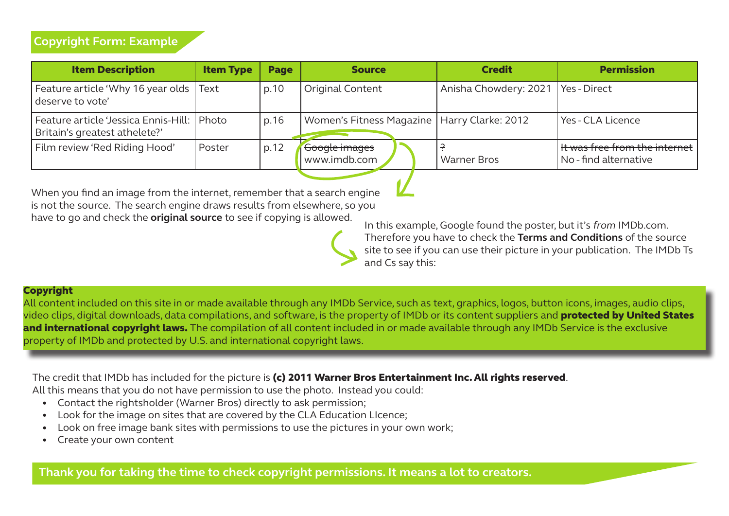| <b>Item Description</b>                                                       | <b>Item Type</b> | <b>Page</b> | <b>Source</b>                                 | <b>Credit</b>                        | <b>Permission</b>                                            |
|-------------------------------------------------------------------------------|------------------|-------------|-----------------------------------------------|--------------------------------------|--------------------------------------------------------------|
| Feature article 'Why 16 year olds Text<br>deserve to vote'                    |                  | p.10        | Original Content                              | Anisha Chowdery: 2021   Yes - Direct |                                                              |
| Feature article 'Jessica Ennis-Hill:   Photo<br>Britain's greatest athelete?' |                  | p.16        | Women's Fitness Magazine   Harry Clarke: 2012 |                                      | l Yes - CLA Licence                                          |
| Film review 'Red Riding Hood'                                                 | Poster           | p.12        | Google images<br>www.imdb.com                 | <b>Warner Bros</b>                   | $\vert$ It was free from the internet<br>No-find alternative |

When you find an image from the internet, remember that a search engine is not the source. The search engine draws results from elsewhere, so you have to go and check the **original source** to see if copying is allowed. In this example, Google found the poster, but it's *from* IMDb.com.

Therefore you have to check the **Terms and Conditions** of the source site to see if you can use their picture in your publication. The IMDb Ts and Cs say this:

#### Copyright

All content included on this site in or made available through any IMDb Service, such as text, graphics, logos, button icons, images, audio clips, video clips, digital downloads, data compilations, and software, is the property of IMDb or its content suppliers and **protected by United States** and international copyright laws. The compilation of all content included in or made available through any IMDb Service is the exclusive property of IMDb and protected by U.S. and international copyright laws.

The credit that IMDb has included for the picture is (c) 2011 Warner Bros Entertainment Inc. All rights reserved.

All this means that you do not have permission to use the photo. Instead you could:

- Contact the rightsholder (Warner Bros) directly to ask permission;
- Look for the image on sites that are covered by the CLA Education LIcence;
- Look on free image bank sites with permissions to use the pictures in your own work;
- Create your own content

**Thank you for taking the time to check copyright permissions. It means a lot to creators.**